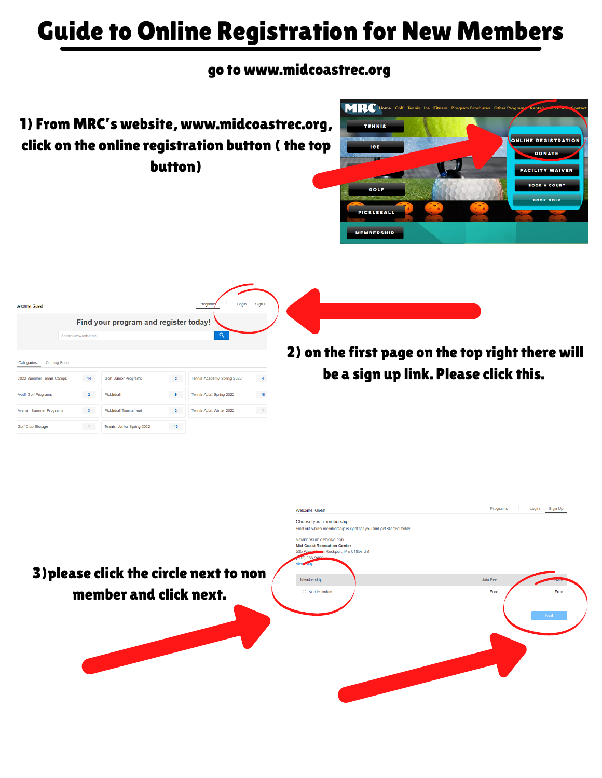## Guide to Online Registration for New Members

## go to www.midcoastrec.org

1) From MRC's website, www.midcoastrec.org, click on the online registration button ( the top button)





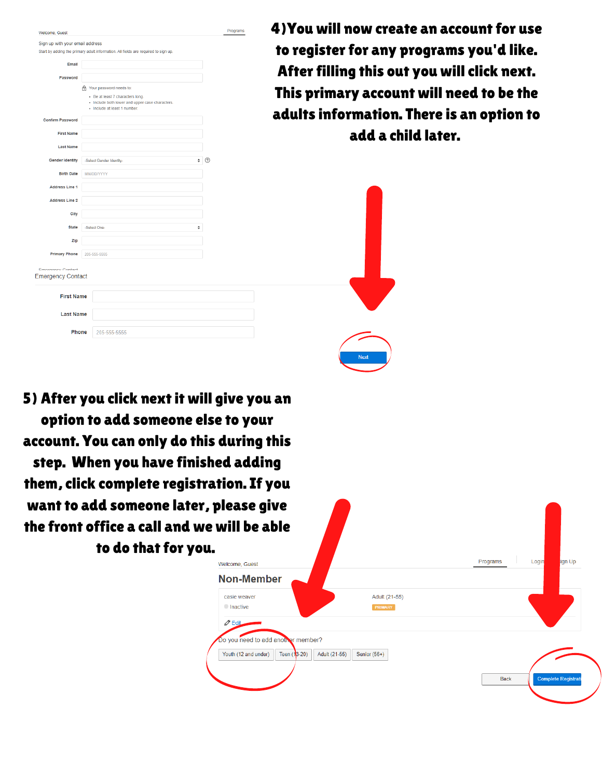| Welcome, Guest                  |                                                                                                                     |   | Programs | 4) |
|---------------------------------|---------------------------------------------------------------------------------------------------------------------|---|----------|----|
| Sign up with your email address |                                                                                                                     |   |          |    |
|                                 | Start by adding the primary adult information. All fields are required to sign up.                                  |   |          |    |
| Email                           |                                                                                                                     |   |          |    |
| Password                        |                                                                                                                     |   |          |    |
|                                 | no Your password needs to:                                                                                          |   |          |    |
|                                 | - Be at least 7 characters long.<br>· Include both lower and upper case characters.<br>· Include at least 1 number. |   |          |    |
| <b>Confirm Password</b>         |                                                                                                                     |   |          |    |
| <b>First Name</b>               |                                                                                                                     |   |          |    |
| <b>Last Name</b>                |                                                                                                                     |   |          |    |
| <b>Gender Identity</b>          | -Select Gender Identity-                                                                                            | ÷ | ⊚        |    |
| <b>Birth Date</b>               | MM/DD/YYYY                                                                                                          |   |          |    |
| <b>Address Line 1</b>           |                                                                                                                     |   |          |    |
| <b>Address Line 2</b>           |                                                                                                                     |   |          |    |
| City                            |                                                                                                                     |   |          |    |
| <b>State</b>                    | -Select One-                                                                                                        | ÷ |          |    |
| Zip                             |                                                                                                                     |   |          |    |
| <b>Primary Phone</b>            | 205-555-5555                                                                                                        |   |          |    |
| Emorgancy Contact               |                                                                                                                     |   |          |    |
| <b>Emergency Contact</b>        |                                                                                                                     |   |          |    |
| <b>First Name</b>               |                                                                                                                     |   |          |    |
|                                 |                                                                                                                     |   |          |    |
| <b>Last Name</b>                |                                                                                                                     |   |          |    |
|                                 | Phone<br>205-555-5555                                                                                               |   |          |    |

4)You will now create an account for use register for any programs you'd like. fter filling this out you will click next. iis primary account will need to be the  $l$ ults information. There is an option to  $\overline{\phantom{a}}$ add a child later.

5) After you click next it will give you an option to add someone else to your account. You can only do this during this step. When you have finished adding them, click complete registration. If you want to add someone later, please give the front office a call an to do that fo

| <b>Non-Member</b><br>Adult (21-55)<br>casie weaver |  |  |  |
|----------------------------------------------------|--|--|--|
|                                                    |  |  |  |
| <b>Inactive</b><br><b>PRIMARY</b>                  |  |  |  |
| $\mathscr{D}$ Edit                                 |  |  |  |
| Do you need to add another member?                 |  |  |  |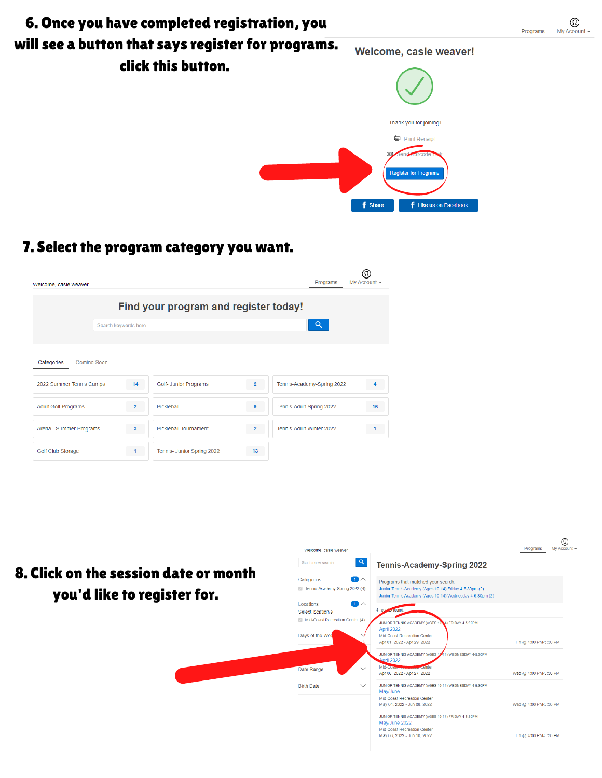

 $\circledR$ 

My Account  $\sim$ 

## 7. Select the program category you want.

| Welcome, casie weaver            |                      |                                       |                | Programs                   | My Account - |
|----------------------------------|----------------------|---------------------------------------|----------------|----------------------------|--------------|
|                                  |                      | Find your program and register today! |                |                            |              |
|                                  | Search keywords here |                                       |                | Q                          |              |
| Categories<br><b>Coming Soon</b> |                      |                                       |                |                            |              |
| 2022 Summer Tennis Camps         | 14                   | Golf- Junior Programs                 | $\overline{2}$ | Tennis-Academy-Spring 2022 |              |
| <b>Adult Golf Programs</b>       | $\overline{2}$       | Pickleball                            | 9              | 7 -nnis-Adult-Spring 2022  | 16           |
| Arena - Summer Programs          | 3                    | <b>Pickleball Tournament</b>          | $\overline{2}$ | Tennis-Adult-Winter 2022   |              |
| <b>Golf Club Storage</b>         | 1.                   | Tennis- Junior Spring 2022            | 13             |                            |              |

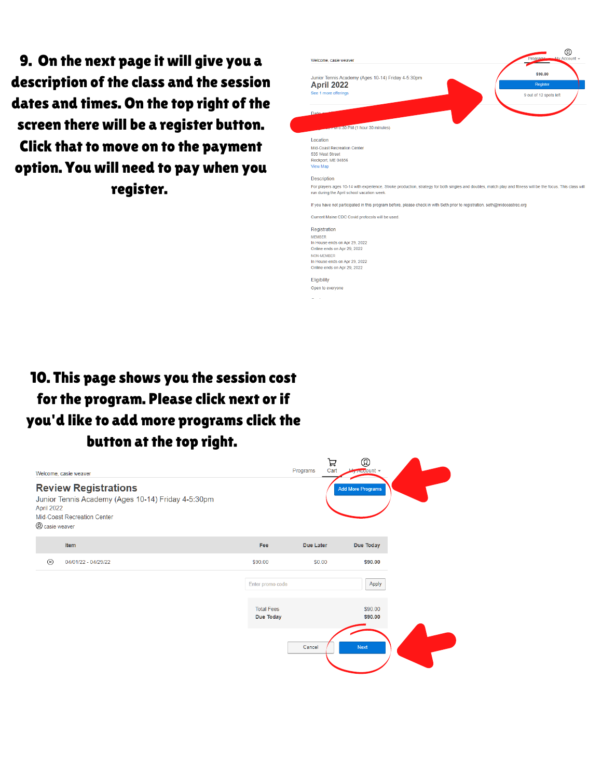9. On the next page it will give you a description of the class and the session dates and times. On the top right of the screen there will be a register button. Click that to move on to the payment option. You will need to pay when you register.



## 10. This page shows you the session cost 7 for the program. Please click next or if you'd like to add more programs click the button at the top right.